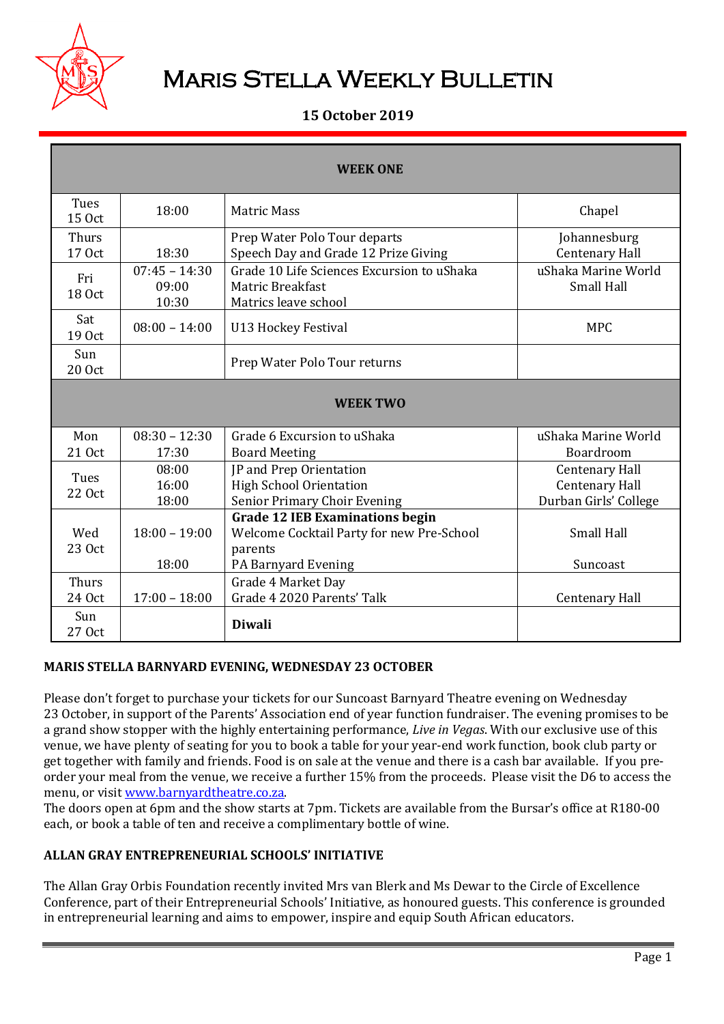

# Maris Stella Weekly Bulletin

### **15 October 2019**

| <b>WEEK ONE</b>        |                                   |                                                                                        |                                          |  |  |  |
|------------------------|-----------------------------------|----------------------------------------------------------------------------------------|------------------------------------------|--|--|--|
|                        |                                   |                                                                                        |                                          |  |  |  |
| Tues<br>15 Oct         | 18:00                             | <b>Matric Mass</b>                                                                     | Chapel                                   |  |  |  |
| <b>Thurs</b><br>17 Oct | 18:30                             | Prep Water Polo Tour departs<br>Speech Day and Grade 12 Prize Giving                   | Johannesburg<br><b>Centenary Hall</b>    |  |  |  |
| Fri<br>18 Oct          | $07:45 - 14:30$<br>09:00<br>10:30 | Grade 10 Life Sciences Excursion to uShaka<br>Matric Breakfast<br>Matrics leave school | uShaka Marine World<br><b>Small Hall</b> |  |  |  |
| Sat<br>19 Oct          | $08:00 - 14:00$                   | <b>U13 Hockey Festival</b>                                                             | <b>MPC</b>                               |  |  |  |
| Sun<br>20 Oct          |                                   | Prep Water Polo Tour returns                                                           |                                          |  |  |  |
| <b>WEEK TWO</b>        |                                   |                                                                                        |                                          |  |  |  |
| Mon                    | $08:30 - 12:30$                   | Grade 6 Excursion to uShaka                                                            | uShaka Marine World                      |  |  |  |
| 21 Oct                 | 17:30                             | <b>Board Meeting</b>                                                                   | Boardroom                                |  |  |  |
| Tues                   | 08:00                             | JP and Prep Orientation                                                                | <b>Centenary Hall</b>                    |  |  |  |
| 22 Oct                 | 16:00                             | <b>High School Orientation</b>                                                         | <b>Centenary Hall</b>                    |  |  |  |
|                        | 18:00                             | Senior Primary Choir Evening                                                           | Durban Girls' College                    |  |  |  |
|                        |                                   | <b>Grade 12 IEB Examinations begin</b>                                                 |                                          |  |  |  |
| Wed                    | $18:00 - 19:00$                   | Welcome Cocktail Party for new Pre-School                                              | <b>Small Hall</b>                        |  |  |  |
| 23 Oct                 | 18:00                             | parents                                                                                |                                          |  |  |  |
|                        |                                   | PA Barnyard Evening                                                                    | Suncoast                                 |  |  |  |
| <b>Thurs</b><br>24 Oct | $17:00 - 18:00$                   | Grade 4 Market Day<br>Grade 4 2020 Parents' Talk                                       | <b>Centenary Hall</b>                    |  |  |  |
|                        |                                   |                                                                                        |                                          |  |  |  |
| Sun<br>27 Oct          |                                   | <b>Diwali</b>                                                                          |                                          |  |  |  |

#### **MARIS STELLA BARNYARD EVENING, WEDNESDAY 23 OCTOBER**

Please don't forget to purchase your tickets for our Suncoast Barnyard Theatre evening on Wednesday 23 October, in support of the Parents' Association end of year function fundraiser. The evening promises to be a grand show stopper with the highly entertaining performance, *Live in Vegas*. With our exclusive use of this venue, we have plenty of seating for you to book a table for your year-end work function, book club party or get together with family and friends. Food is on sale at the venue and there is a cash bar available. If you preorder your meal from the venue, we receive a further 15% from the proceeds. Please visit the D6 to access the menu, or visi[t www.barnyardtheatre.co.za.](http://www.barnyardtheatre.co.za/)

The doors open at 6pm and the show starts at 7pm. Tickets are available from the Bursar's office at R180-00 each, or book a table of ten and receive a complimentary bottle of wine.

#### **ALLAN GRAY ENTREPRENEURIAL SCHOOLS' INITIATIVE**

The Allan Gray Orbis Foundation recently invited Mrs van Blerk and Ms Dewar to the Circle of Excellence Conference, part of their Entrepreneurial Schools' Initiative, as honoured guests. This conference is grounded in entrepreneurial learning and aims to empower, inspire and equip South African educators.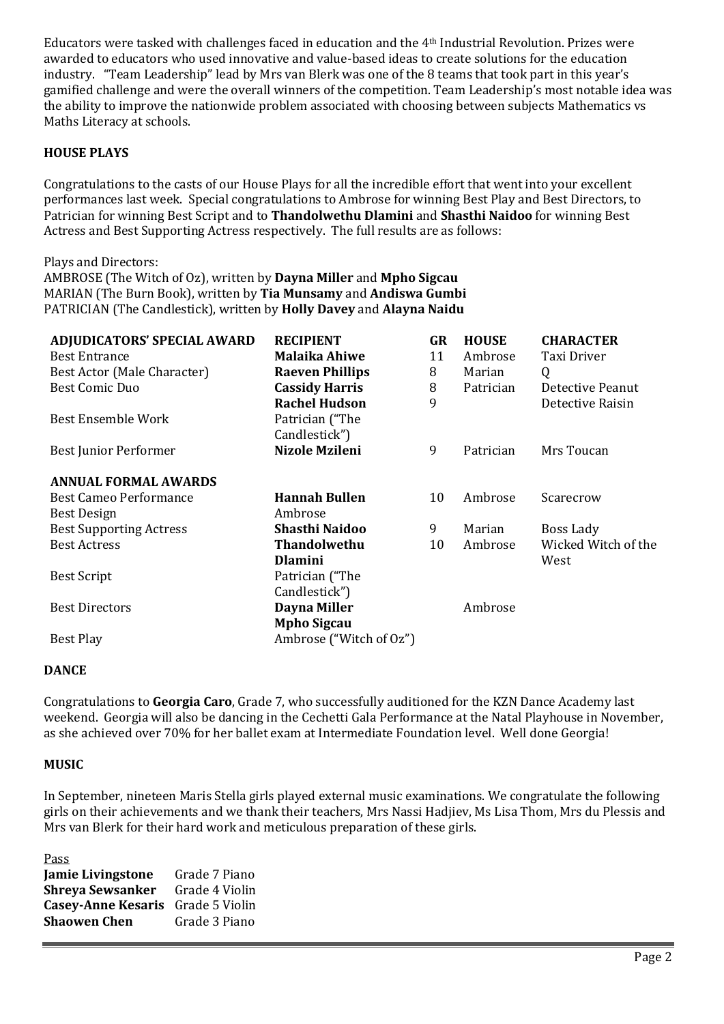Educators were tasked with challenges faced in education and the 4th Industrial Revolution. Prizes were awarded to educators who used innovative and value-based ideas to create solutions for the education industry. "Team Leadership" lead by Mrs van Blerk was one of the 8 teams that took part in this year's gamified challenge and were the overall winners of the competition. Team Leadership's most notable idea was the ability to improve the nationwide problem associated with choosing between subjects Mathematics vs Maths Literacy at schools.

#### **HOUSE PLAYS**

Congratulations to the casts of our House Plays for all the incredible effort that went into your excellent performances last week. Special congratulations to Ambrose for winning Best Play and Best Directors, to Patrician for winning Best Script and to **Thandolwethu Dlamini** and **Shasthi Naidoo** for winning Best Actress and Best Supporting Actress respectively. The full results are as follows:

Plays and Directors:

AMBROSE (The Witch of Oz), written by **Dayna Miller** and **Mpho Sigcau** MARIAN (The Burn Book), written by **Tia Munsamy** and **Andiswa Gumbi** PATRICIAN (The Candlestick), written by **Holly Davey** and **Alayna Naidu**

| ADJUDICATORS' SPECIAL AWARD    | <b>RECIPIENT</b>        | <b>GR</b> | <b>HOUSE</b> | <b>CHARACTER</b>    |
|--------------------------------|-------------------------|-----------|--------------|---------------------|
| <b>Best Entrance</b>           | <b>Malaika Ahiwe</b>    | 11        | Ambrose      | Taxi Driver         |
| Best Actor (Male Character)    | <b>Raeven Phillips</b>  | 8         | Marian       | Q                   |
| Best Comic Duo                 | <b>Cassidy Harris</b>   | 8         | Patrician    | Detective Peanut    |
|                                | <b>Rachel Hudson</b>    | 9         |              | Detective Raisin    |
| <b>Best Ensemble Work</b>      | Patrician ("The         |           |              |                     |
|                                | Candlestick")           |           |              |                     |
| Best Junior Performer          | Nizole Mzileni          | 9         | Patrician    | Mrs Toucan          |
| <b>ANNUAL FORMAL AWARDS</b>    |                         |           |              |                     |
| <b>Best Cameo Performance</b>  | <b>Hannah Bullen</b>    | 10        | Ambrose      | Scarecrow           |
| <b>Best Design</b>             | Ambrose                 |           |              |                     |
| <b>Best Supporting Actress</b> | <b>Shasthi Naidoo</b>   | 9         | Marian       | Boss Lady           |
| <b>Best Actress</b>            | <b>Thandolwethu</b>     | 10        | Ambrose      | Wicked Witch of the |
|                                | <b>Dlamini</b>          |           |              | West                |
| <b>Best Script</b>             | Patrician ("The         |           |              |                     |
|                                | Candlestick")           |           |              |                     |
| <b>Best Directors</b>          | Dayna Miller            |           | Ambrose      |                     |
|                                | <b>Mpho Sigcau</b>      |           |              |                     |
| Best Play                      | Ambrose ("Witch of Oz") |           |              |                     |

#### **DANCE**

Congratulations to **Georgia Caro**, Grade 7, who successfully auditioned for the KZN Dance Academy last weekend. Georgia will also be dancing in the Cechetti Gala Performance at the Natal Playhouse in November, as she achieved over 70% for her ballet exam at Intermediate Foundation level. Well done Georgia!

#### **MUSIC**

In September, nineteen Maris Stella girls played external music examinations. We congratulate the following girls on their achievements and we thank their teachers, Mrs Nassi Hadjiev, Ms Lisa Thom, Mrs du Plessis and Mrs van Blerk for their hard work and meticulous preparation of these girls.

Pass **Jamie Livingstone** Grade 7 Piano **Shreya Sewsanker** Grade 4 Violin **Casey-Anne Kesaris** Grade 5 Violin **Shaowen Chen** Grade 3 Piano